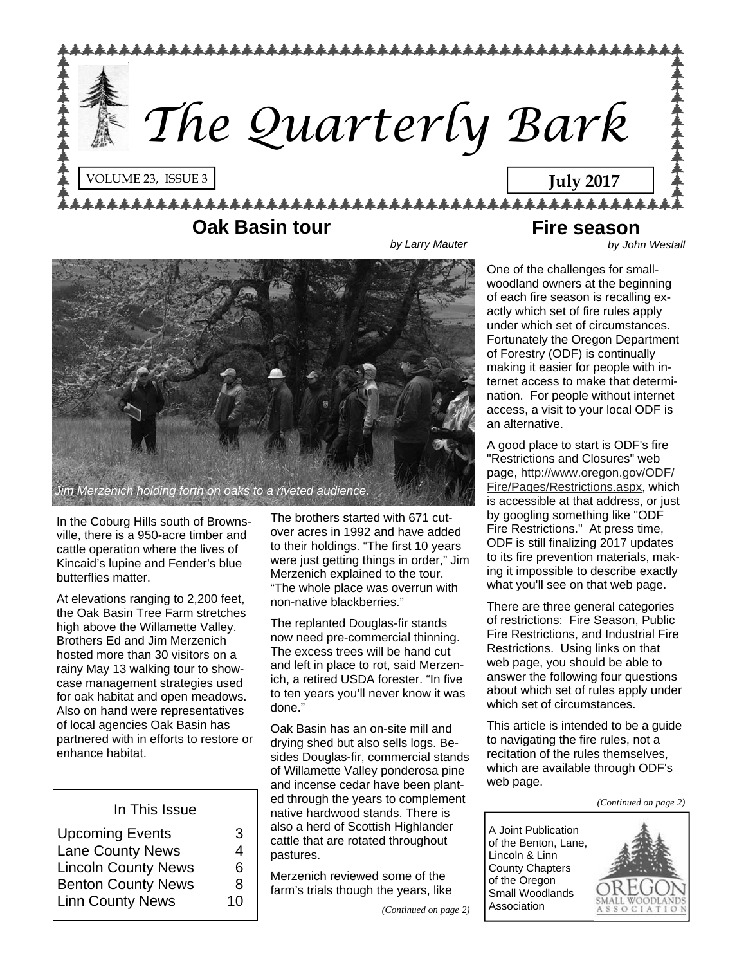

#### **Oak Basin tour**

**Fire season** 

*by Larry Mauter* 

*by John Westall* 



In the Coburg Hills south of Brownsville, there is a 950-acre timber and cattle operation where the lives of Kincaid's lupine and Fender's blue butterflies matter.

At elevations ranging to 2,200 feet, the Oak Basin Tree Farm stretches high above the Willamette Valley. Brothers Ed and Jim Merzenich hosted more than 30 visitors on a rainy May 13 walking tour to showcase management strategies used for oak habitat and open meadows. Also on hand were representatives of local agencies Oak Basin has partnered with in efforts to restore or enhance habitat.

|  |  | In This Issue |
|--|--|---------------|
|--|--|---------------|

| <b>Upcoming Events</b>     | З  |
|----------------------------|----|
| <b>Lane County News</b>    | 4  |
| <b>Lincoln County News</b> | 6  |
| <b>Benton County News</b>  | 8  |
| <b>Linn County News</b>    | 10 |
|                            |    |

The brothers started with 671 cutover acres in 1992 and have added to their holdings. "The first 10 years were just getting things in order," Jim Merzenich explained to the tour. "The whole place was overrun with non-native blackberries."

The replanted Douglas-fir stands now need pre-commercial thinning. The excess trees will be hand cut and left in place to rot, said Merzenich, a retired USDA forester. "In five to ten years you'll never know it was done."

Oak Basin has an on-site mill and drying shed but also sells logs. Besides Douglas-fir, commercial stands of Willamette Valley ponderosa pine and incense cedar have been planted through the years to complement native hardwood stands. There is also a herd of Scottish Highlander cattle that are rotated throughout pastures.

Merzenich reviewed some of the farm's trials though the years, like One of the challenges for smallwoodland owners at the beginning of each fire season is recalling exactly which set of fire rules apply under which set of circumstances. Fortunately the Oregon Department of Forestry (ODF) is continually making it easier for people with internet access to make that determination. For people without internet access, a visit to your local ODF is an alternative.

A good place to start is ODF's fire "Restrictions and Closures" web page, [http://www.oregon.gov/ODF/](http://www.oregon.gov/ODF/Fire/Pages/Restrictions.aspx) [Fire/Pages/Restrictions.aspx](http://www.oregon.gov/ODF/Fire/Pages/Restrictions.aspx), which is accessible at that address, or just by googling something like "ODF Fire Restrictions." At press time, ODF is still finalizing 2017 updates to its fire prevention materials, making it impossible to describe exactly what you'll see on that web page.

There are three general categories of restrictions: Fire Season, Public Fire Restrictions, and Industrial Fire Restrictions. Using links on that web page, you should be able to answer the following four questions about which set of rules apply under which set of circumstances.

This article is intended to be a guide to navigating the fire rules, not a recitation of the rules themselves, which are available through ODF's web page.

*(Continued on page 2)* 

A Joint Publication of the Benton, Lane, Lincoln & Linn County Chapters of the Oregon Small Woodlands Association

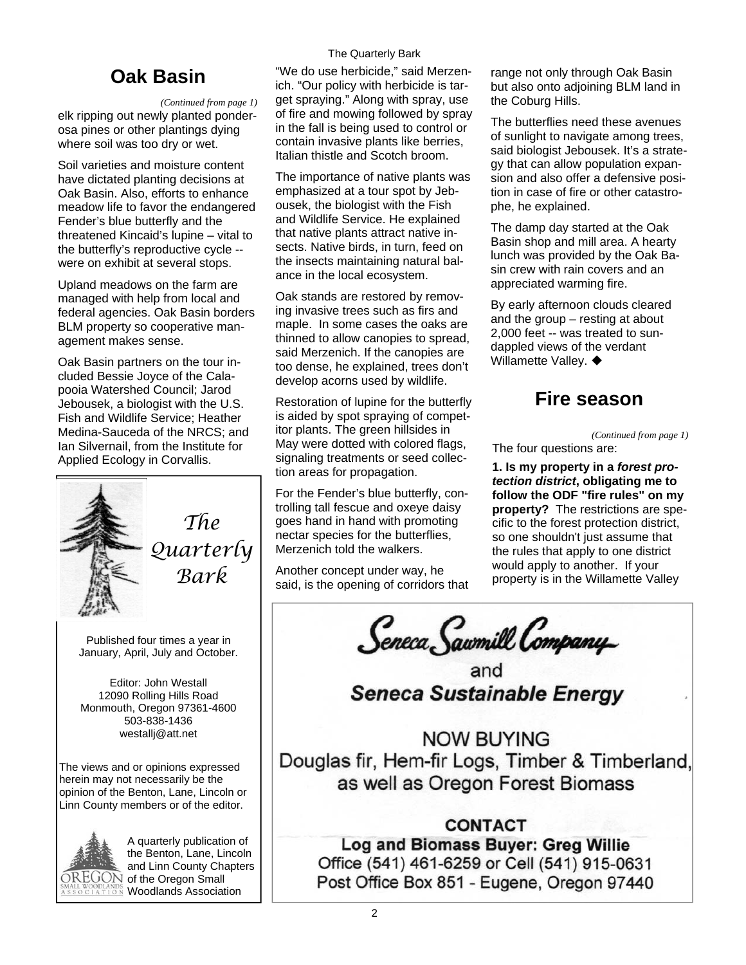#### The Quarterly Bark

### **Oak Basin**

#### *(Continued from page 1)*

elk ripping out newly planted ponderosa pines or other plantings dying where soil was too dry or wet.

Soil varieties and moisture content have dictated planting decisions at Oak Basin. Also, efforts to enhance meadow life to favor the endangered Fender's blue butterfly and the threatened Kincaid's lupine – vital to the butterfly's reproductive cycle - were on exhibit at several stops.

Upland meadows on the farm are managed with help from local and federal agencies. Oak Basin borders BLM property so cooperative management makes sense.

Oak Basin partners on the tour included Bessie Joyce of the Calapooia Watershed Council; Jarod Jebousek, a biologist with the U.S. Fish and Wildlife Service; Heather Medina-Sauceda of the NRCS; and Ian Silvernail, from the Institute for Applied Ecology in Corvallis.



*The Quarterly Bark* 

Published four times a year in January, April, July and October.

Editor: John Westall 12090 Rolling Hills Road Monmouth, Oregon 97361-4600 503-838-1436 westallj@att.net

The views and or opinions expressed herein may not necessarily be the opinion of the Benton, Lane, Lincoln or Linn County members or of the editor.



A quarterly publication of the Benton, Lane, Lincoln and Linn County Chapters  $\overline{\rm DREGON}$  of the Oregon Small Woodlands Association

"We do use herbicide," said Merzenich. "Our policy with herbicide is target spraying." Along with spray, use of fire and mowing followed by spray in the fall is being used to control or contain invasive plants like berries, Italian thistle and Scotch broom.

The importance of native plants was emphasized at a tour spot by Jebousek, the biologist with the Fish and Wildlife Service. He explained that native plants attract native insects. Native birds, in turn, feed on the insects maintaining natural balance in the local ecosystem.

Oak stands are restored by removing invasive trees such as firs and maple. In some cases the oaks are thinned to allow canopies to spread, said Merzenich. If the canopies are too dense, he explained, trees don't develop acorns used by wildlife.

Restoration of lupine for the butterfly is aided by spot spraying of competitor plants. The green hillsides in May were dotted with colored flags, signaling treatments or seed collection areas for propagation.

For the Fender's blue butterfly, controlling tall fescue and oxeye daisy goes hand in hand with promoting nectar species for the butterflies, Merzenich told the walkers.

Another concept under way, he said, is the opening of corridors that range not only through Oak Basin but also onto adjoining BLM land in the Coburg Hills.

The butterflies need these avenues of sunlight to navigate among trees, said biologist Jebousek. It's a strategy that can allow population expansion and also offer a defensive position in case of fire or other catastrophe, he explained.

The damp day started at the Oak Basin shop and mill area. A hearty lunch was provided by the Oak Basin crew with rain covers and an appreciated warming fire.

By early afternoon clouds cleared and the group – resting at about 2,000 feet -- was treated to sundappled views of the verdant Willamette Valley.  $\blacklozenge$ 

#### **Fire season**

*(Continued from page 1)* 

The four questions are:

**1. Is my property in a** *forest protection district***, obligating me to follow the ODF "fire rules" on my property?** The restrictions are specific to the forest protection district, so one shouldn't just assume that the rules that apply to one district would apply to another. If your property is in the Willamette Valley

Seneca Sawmill Company

**Seneca Sustainable Energy** 

**NOW BUYING** Douglas fir, Hem-fir Logs, Timber & Timberland, as well as Oregon Forest Biomass

#### **CONTACT**

Log and Biomass Buyer: Greg Willie Office (541) 461-6259 or Cell (541) 915-0631 Post Office Box 851 - Eugene, Oregon 97440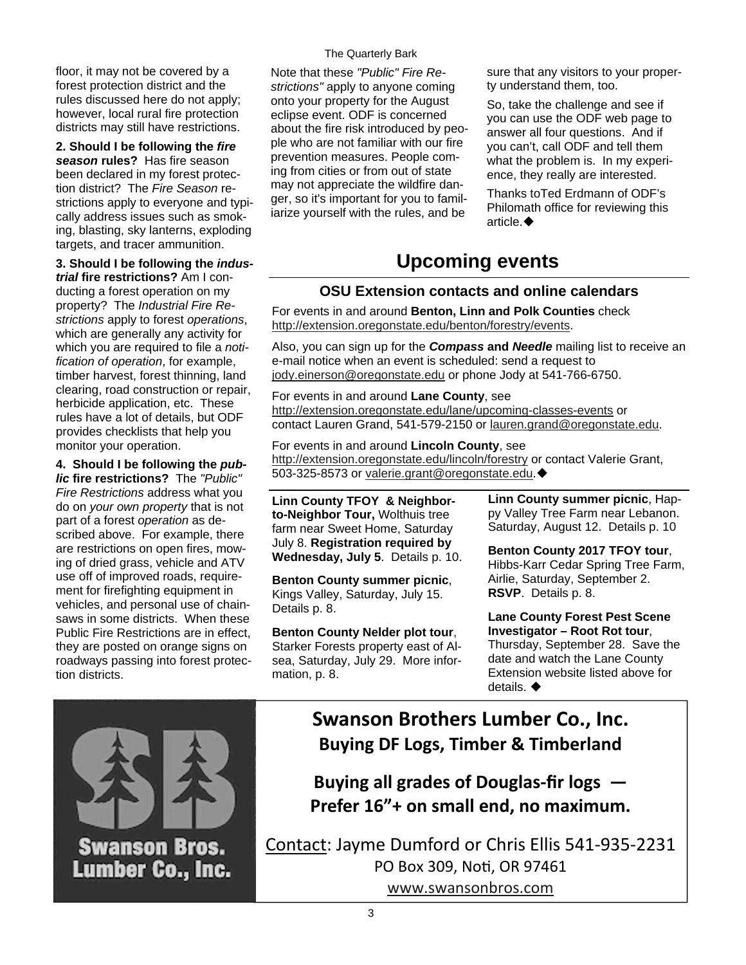floor, it may not be covered by a forest protection district and the rules discussed here do not apply; however, local rural fire protection districts may still have restrictions.

**2. Should I be following the** *fire season* **rules?** Has fire season been declared in my forest protection district?The *Fire Season* restrictions apply to everyone and typically address issues such as smoking, blasting, sky lanterns, exploding targets, and tracer ammunition.

#### **3. Should I be following the** *indus-*

*trial* **fire restrictions?** Am I conducting a forest operation on my property? The *Industrial Fire Restrictions* apply to forest *operations*, which are generally any activity for which you are required to file a *notification of operation*, for example, timber harvest, forest thinning, land clearing, road construction or repair, herbicide application, etc. These rules have a lot of details, but ODF provides checklists that help you monitor your operation.

**4. Should I be following the** *public* **fire restrictions?** The *"Public" Fire Restrictions* address what you do on *your own property* that is not part of a forest *operation* as described above. For example, there are restrictions on open fires, mowing of dried grass, vehicle and ATV use off of improved roads, requirement for firefighting equipment in vehicles, and personal use of chainsaws in some districts. When these Public Fire Restrictions are in effect, they are posted on orange signs on roadways passing into forest protection districts.

#### The Quarterly Bark

Note that these *"Public" Fire Restrictions"* apply to anyone coming onto your property for the August eclipse event. ODF is concerned about the fire risk introduced by people who are not familiar with our fire prevention measures. People coming from cities or from out of state may not appreciate the wildfire danger, so it's important for you to familiarize yourself with the rules, and be

sure that any visitors to your property understand them, too.

So, take the challenge and see if you can use the ODF web page to answer all four questions. And if you can't, call ODF and tell them what the problem is. In my experience, they really are interested.

Thanks toTed Erdmann of ODF's Philomath office for reviewing this article.

## **Upcoming events**

#### **OSU Extension contacts and online calendars**

For events in and around **Benton, Linn and Polk Counties** check [http://extension.oregonstate.edu/benton/forestry/events.](http://extension.oregonstate.edu/benton/forestry/events)

Also, you can sign up for the *Compass* **and** *Needle* mailing list to receive an e-mail notice when an event is scheduled: send a request to [jody.einerson@oregonstate.edu](mailto:jody.einerson@oregonstate.edu) or phone Jody at 541-766-6750.

For events in and around **Lane County**, see <http://extension.oregonstate.edu/lane/upcoming-classes-events> or contact Lauren Grand, 541-579-2150 or [lauren.grand@oregonstate.edu](mailto:lauren.grand@oregonstate.edu).

For events in and around **Lincoln County**, see <http://extension.oregonstate.edu/lincoln/forestry>or contact Valerie Grant, 503-325-8573 or [valerie.grant@oregonstate.edu](mailto:valerie.grant@oregonstate.edu).

**Linn County TFOY & Neighborto-Neighbor Tour,** Wolthuis tree farm near Sweet Home, Saturday July 8. **Registration required by Wednesday, July 5**. Details p. 10.

**Benton County summer picnic**, Kings Valley, Saturday, July 15. Details p. 8.

**Benton County Nelder plot tour**, Starker Forests property east of Alsea, Saturday, July 29. More information, p. 8.

**Linn County summer picnic**, Happy Valley Tree Farm near Lebanon. Saturday, August 12. Details p. 10

**Benton County 2017 TFOY tour**, Hibbs-Karr Cedar Spring Tree Farm, Airlie, Saturday, September 2. **RSVP**. Details p. 8.

**Lane County Forest Pest Scene Investigator – Root Rot tour**, Thursday, September 28. Save the date and watch the Lane County Extension website listed above for details.



**Swanson Brothers Lumber Co., Inc. Buying DF Logs, Timber & Timberland**

**Buying all grades of Douglas‐fir logs — Prefer 16"+ on small end, no maximum.**

Contact: Jayme Dumford or Chris Ellis 541‐935‐2231 PO Box 309, NoƟ, OR 97461 [www.swansonbros.com](http://www.swansonbros.com)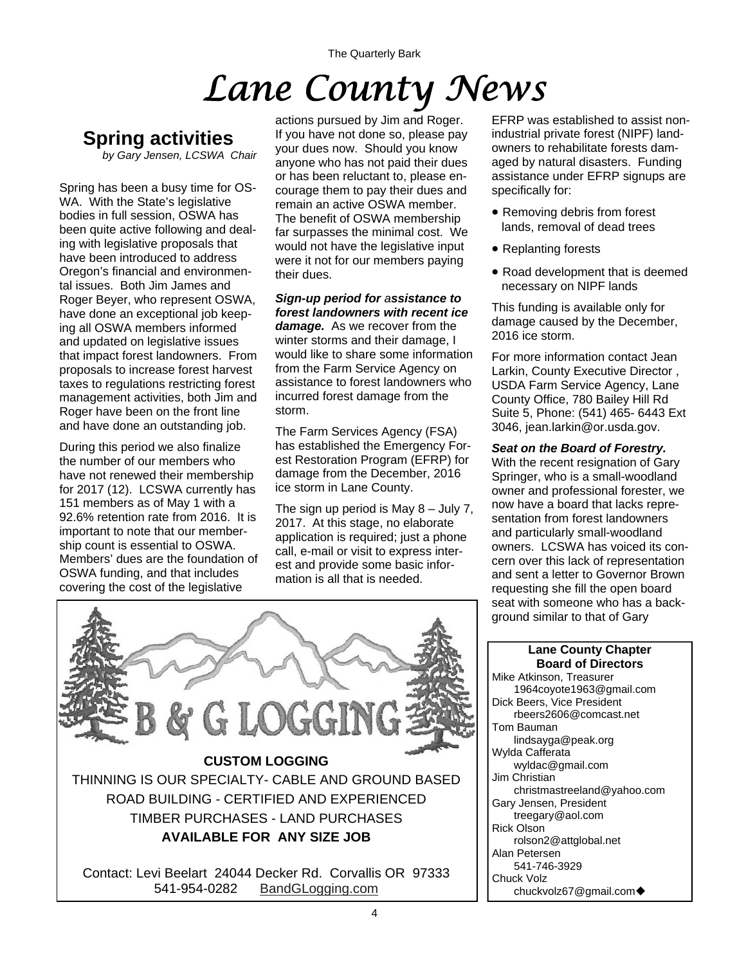The Quarterly Bark

# *Lane County News*

## **Spring activities**

*by Gary Jensen, LCSWA Chair* 

Spring has been a busy time for OS-WA. With the State's legislative bodies in full session, OSWA has been quite active following and dealing with legislative proposals that have been introduced to address Oregon's financial and environmental issues. Both Jim James and Roger Beyer, who represent OSWA, have done an exceptional job keeping all OSWA members informed and updated on legislative issues that impact forest landowners. From proposals to increase forest harvest taxes to regulations restricting forest management activities, both Jim and Roger have been on the front line and have done an outstanding job.

During this period we also finalize the number of our members who have not renewed their membership for 2017 (12). LCSWA currently has 151 members as of May 1 with a 92.6% retention rate from 2016. It is important to note that our membership count is essential to OSWA. Members' dues are the foundation of OSWA funding, and that includes covering the cost of the legislative

actions pursued by Jim and Roger. If you have not done so, please pay your dues now. Should you know anyone who has not paid their dues or has been reluctant to, please encourage them to pay their dues and remain an active OSWA member. The benefit of OSWA membership far surpasses the minimal cost. We would not have the legislative input were it not for our members paying their dues.

*Sign-up period for assistance to forest landowners with recent ice damage.* As we recover from the winter storms and their damage, I would like to share some information from the Farm Service Agency on assistance to forest landowners who incurred forest damage from the storm.

The Farm Services Agency (FSA) has established the Emergency Forest Restoration Program (EFRP) for damage from the December, 2016 ice storm in Lane County.

The sign up period is May 8 – July 7, 2017. At this stage, no elaborate application is required; just a phone call, e-mail or visit to express interest and provide some basic information is all that is needed.

EFRP was established to assist nonindustrial private forest (NIPF) landowners to rehabilitate forests damaged by natural disasters. Funding assistance under EFRP signups are specifically for:

- Removing debris from forest lands, removal of dead trees
- Replanting forests
- Road development that is deemed necessary on NIPF lands

This funding is available only for damage caused by the December, 2016 ice storm.

For more information contact Jean Larkin, County Executive Director , USDA Farm Service Agency, Lane County Office, 780 Bailey Hill Rd Suite 5, Phone: (541) 465- 6443 Ext 3046, jean.larkin@or.usda.gov.

#### *Seat on the Board of Forestry.*

With the recent resignation of Gary Springer, who is a small-woodland owner and professional forester, we now have a board that lacks representation from forest landowners and particularly small-woodland owners. LCSWA has voiced its concern over this lack of representation and sent a letter to Governor Brown requesting she fill the open board seat with someone who has a background similar to that of Gary



#### **Lane County Chapter Board of Directors**

Mike Atkinson, Treasurer 1964coyote1963@gmail.com Dick Beers, Vice President rbeers2606@comcast.net Tom Bauman lindsayga@peak.org Wylda Cafferata wyldac@gmail.com Jim Christian christmastreeland@yahoo.com Gary Jensen, President treegary@aol.com Rick Olson rolson2@attglobal.net Alan Petersen 541-746-3929 Chuck Volz chuckvolz67@gmail.com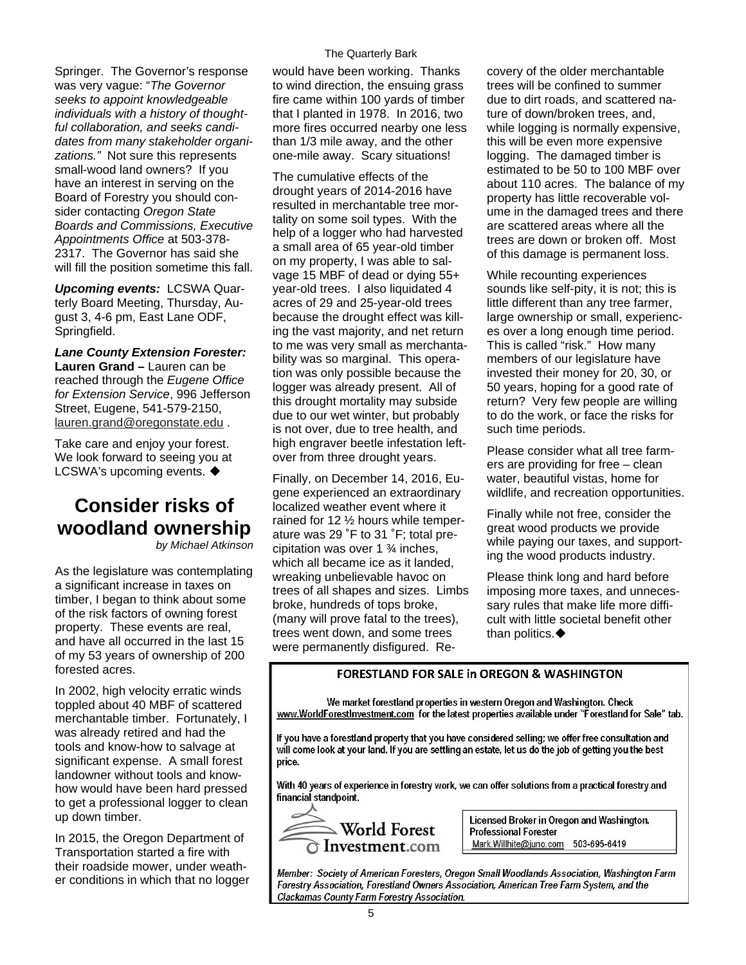Springer. The Governor's response was very vague: "*The Governor seeks to appoint knowledgeable individuals with a history of thoughtful collaboration, and seeks candidates from many stakeholder organizations."* Not sure this represents small-wood land owners? If you have an interest in serving on the Board of Forestry you should consider contacting *Oregon State Boards and Commissions, Executive Appointments Office* at 503-378- 2317. The Governor has said she will fill the position sometime this fall.

*Upcoming events:* LCSWA Quarterly Board Meeting, Thursday, August 3, 4-6 pm, East Lane ODF, Springfield.

*Lane County Extension Forester:*  **Lauren Grand –** Lauren can be reached through the *Eugene Office for Extension Service*, 996 Jefferson Street, Eugene, 541-579-2150, [lauren.grand@oregonstate.edu](mailto:lauren.grand@oregonstate.edu) .

Take care and enjoy your forest. We look forward to seeing you at LCSWA's upcoming events. ♦

## **Consider risks of woodland ownership**

*by Michael Atkinson* 

As the legislature was contemplating a significant increase in taxes on timber, I began to think about some of the risk factors of owning forest property. These events are real, and have all occurred in the last 15 of my 53 years of ownership of 200 forested acres.

In 2002, high velocity erratic winds toppled about 40 MBF of scattered merchantable timber. Fortunately, I was already retired and had the tools and know-how to salvage at significant expense. A small forest landowner without tools and knowhow would have been hard pressed to get a professional logger to clean up down timber.

In 2015, the Oregon Department of Transportation started a fire with their roadside mower, under weather conditions in which that no logger

would have been working. Thanks to wind direction, the ensuing grass fire came within 100 yards of timber that I planted in 1978. In 2016, two more fires occurred nearby one less than 1/3 mile away, and the other one-mile away. Scary situations!

The cumulative effects of the drought years of 2014-2016 have resulted in merchantable tree mortality on some soil types. With the help of a logger who had harvested a small area of 65 year-old timber on my property, I was able to salvage 15 MBF of dead or dying 55+ year-old trees. I also liquidated 4 acres of 29 and 25-year-old trees because the drought effect was killing the vast majority, and net return to me was very small as merchantability was so marginal. This operation was only possible because the logger was already present. All of this drought mortality may subside due to our wet winter, but probably is not over, due to tree health, and high engraver beetle infestation leftover from three drought years.

Finally, on December 14, 2016, Eugene experienced an extraordinary localized weather event where it rained for 12 ½ hours while temperature was 29 ˚F to 31 ˚F; total precipitation was over 1 ¾ inches, which all became ice as it landed, wreaking unbelievable havoc on trees of all shapes and sizes. Limbs broke, hundreds of tops broke, (many will prove fatal to the trees), trees went down, and some trees were permanently disfigured. Recovery of the older merchantable trees will be confined to summer due to dirt roads, and scattered nature of down/broken trees, and, while logging is normally expensive, this will be even more expensive logging. The damaged timber is estimated to be 50 to 100 MBF over about 110 acres. The balance of my property has little recoverable volume in the damaged trees and there are scattered areas where all the trees are down or broken off. Most of this damage is permanent loss.

While recounting experiences sounds like self-pity, it is not; this is little different than any tree farmer, large ownership or small, experiences over a long enough time period. This is called "risk." How many members of our legislature have invested their money for 20, 30, or 50 years, hoping for a good rate of return? Very few people are willing to do the work, or face the risks for such time periods.

Please consider what all tree farmers are providing for free – clean water, beautiful vistas, home for wildlife, and recreation opportunities.

Finally while not free, consider the great wood products we provide while paying our taxes, and supporting the wood products industry.

Please think long and hard before imposing more taxes, and unnecessary rules that make life more difficult with little societal benefit other than politics. $\blacklozenge$ 

#### FORESTI AND FOR SALE in OREGON & WASHINGTON

We market forestland properties in western Oregon and Washington, Check www.WorldForestInvestment.com for the latest properties available under "Forestland for Sale" tab.

If you have a forestland property that you have considered selling; we offer free consultation and will come look at your land. If you are settling an estate, let us do the job of getting you the best price.

With 40 years of experience in forestry work, we can offer solutions from a practical forestry and financial standpoint.



Licensed Broker in Oregon and Washington. **Professional Forester** Mark.Willhite@juno.com 503-695-6419

Member: Society of American Foresters, Oregon Small Woodlands Association, Washington Farm Forestry Association, Forestland Owners Association, American Tree Farm System, and the Clackamas County Farm Forestry Association.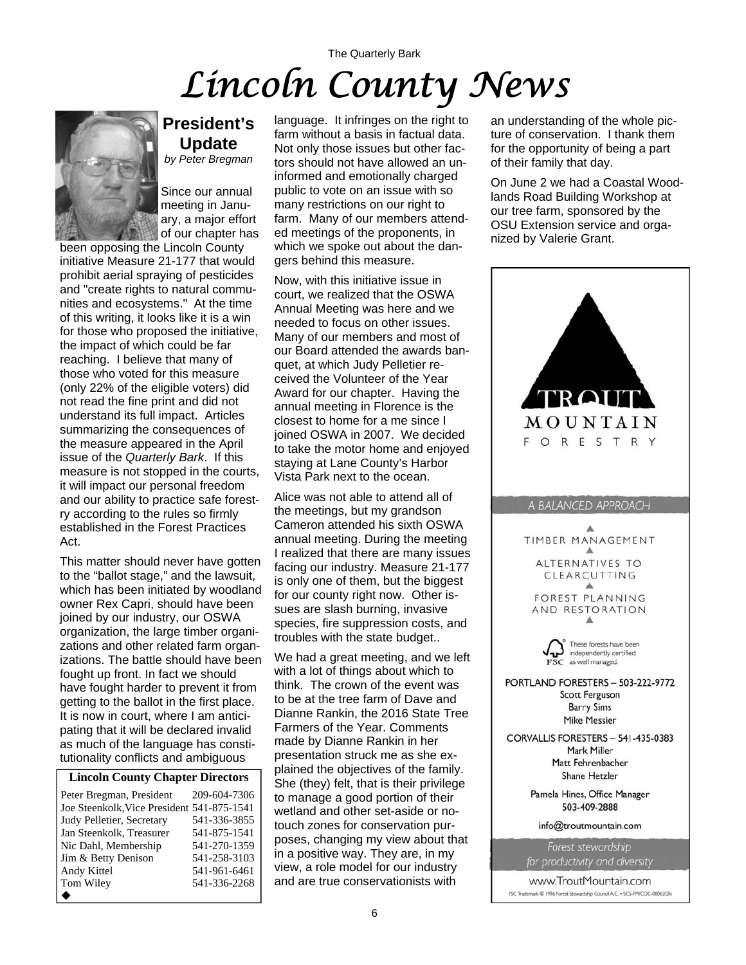## The Quarterly Bark *Lincoln County News*



### **President's Update**

*by Peter Bregman* 

Since our annual meeting in January, a major effort of our chapter has

been opposing the Lincoln County initiative Measure 21-177 that would prohibit aerial spraying of pesticides and "create rights to natural communities and ecosystems." At the time of this writing, it looks like it is a win for those who proposed the initiative, the impact of which could be far reaching. I believe that many of those who voted for this measure (only 22% of the eligible voters) did not read the fine print and did not understand its full impact. Articles summarizing the consequences of the measure appeared in the April issue of the *Quarterly Bark*. If this measure is not stopped in the courts, it will impact our personal freedom and our ability to practice safe forestry according to the rules so firmly established in the Forest Practices Act.

This matter should never have gotten to the "ballot stage," and the lawsuit, which has been initiated by woodland owner Rex Capri, should have been joined by our industry, our OSWA organization, the large timber organizations and other related farm organizations. The battle should have been fought up front. In fact we should have fought harder to prevent it from getting to the ballot in the first place. It is now in court, where I am anticipating that it will be declared invalid as much of the language has constitutionality conflicts and ambiguous

#### **Lincoln County Chapter Directors**

| Peter Bregman, President                   | 209-604-7306 |
|--------------------------------------------|--------------|
| Joe Steenkolk, Vice President 541-875-1541 |              |
| Judy Pelletier, Secretary                  | 541-336-3855 |
| Jan Steenkolk, Treasurer                   | 541-875-1541 |
| Nic Dahl, Membership                       | 541-270-1359 |
| Jim & Betty Denison                        | 541-258-3103 |
| Andy Kittel                                | 541-961-6461 |
| Tom Wiley                                  | 541-336-2268 |
|                                            |              |

language. It infringes on the right to farm without a basis in factual data. Not only those issues but other factors should not have allowed an uninformed and emotionally charged public to vote on an issue with so many restrictions on our right to farm. Many of our members attended meetings of the proponents, in which we spoke out about the dangers behind this measure.

Now, with this initiative issue in court, we realized that the OSWA Annual Meeting was here and we needed to focus on other issues. Many of our members and most of our Board attended the awards banquet, at which Judy Pelletier received the Volunteer of the Year Award for our chapter. Having the annual meeting in Florence is the closest to home for a me since I joined OSWA in 2007. We decided to take the motor home and enjoyed staying at Lane County's Harbor Vista Park next to the ocean.

Alice was not able to attend all of the meetings, but my grandson Cameron attended his sixth OSWA annual meeting. During the meeting I realized that there are many issues facing our industry. Measure 21-177 is only one of them, but the biggest for our county right now. Other issues are slash burning, invasive species, fire suppression costs, and troubles with the state budget..

We had a great meeting, and we left with a lot of things about which to think. The crown of the event was to be at the tree farm of Dave and Dianne Rankin, the 2016 State Tree Farmers of the Year. Comments made by Dianne Rankin in her presentation struck me as she explained the objectives of the family. She (they) felt, that is their privilege to manage a good portion of their wetland and other set-aside or notouch zones for conservation purposes, changing my view about that in a positive way. They are, in my view, a role model for our industry and are true conservationists with

an understanding of the whole picture of conservation. I thank them for the opportunity of being a part of their family that day.

On June 2 we had a Coastal Woodlands Road Building Workshop at our tree farm, sponsored by the OSU Extension service and organized by Valerie Grant.

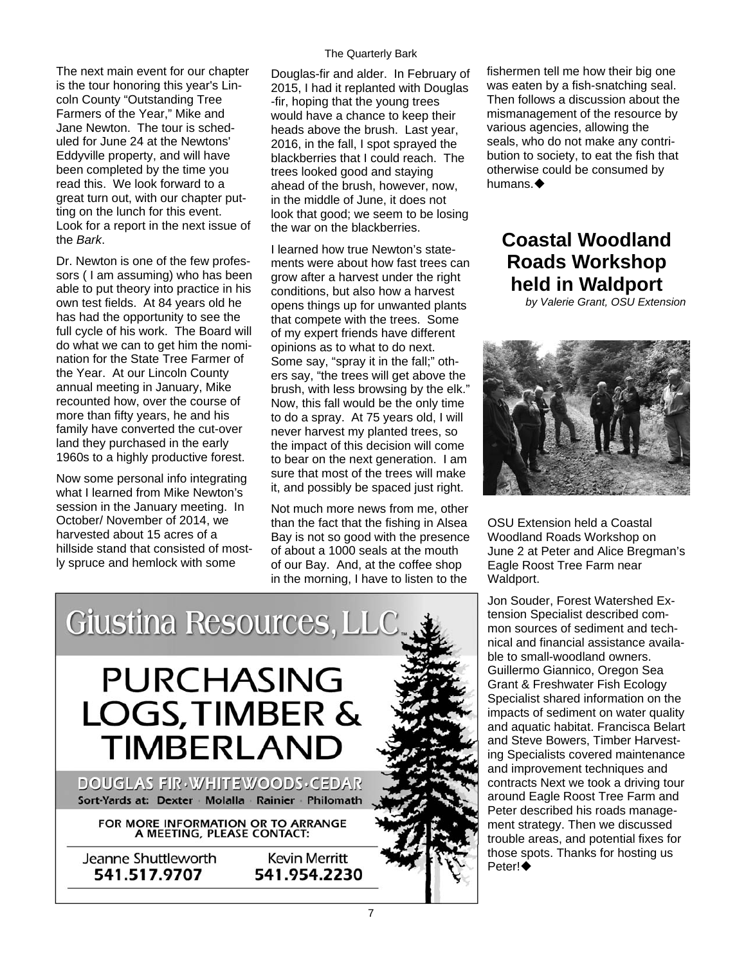The next main event for our chapter is the tour honoring this year's Lincoln County "Outstanding Tree Farmers of the Year," Mike and Jane Newton. The tour is scheduled for June 24 at the Newtons' Eddyville property, and will have been completed by the time you read this. We look forward to a great turn out, with our chapter putting on the lunch for this event. Look for a report in the next issue of the *Bark*.

Dr. Newton is one of the few professors ( I am assuming) who has been able to put theory into practice in his own test fields. At 84 years old he has had the opportunity to see the full cycle of his work. The Board will do what we can to get him the nomination for the State Tree Farmer of the Year. At our Lincoln County annual meeting in January, Mike recounted how, over the course of more than fifty years, he and his family have converted the cut-over land they purchased in the early 1960s to a highly productive forest.

Now some personal info integrating what I learned from Mike Newton's session in the January meeting. In October/ November of 2014, we harvested about 15 acres of a hillside stand that consisted of mostly spruce and hemlock with some

Douglas-fir and alder. In February of 2015, I had it replanted with Douglas -fir, hoping that the young trees would have a chance to keep their heads above the brush. Last year, 2016, in the fall, I spot sprayed the blackberries that I could reach. The trees looked good and staying ahead of the brush, however, now, in the middle of June, it does not look that good; we seem to be losing the war on the blackberries.

I learned how true Newton's statements were about how fast trees can grow after a harvest under the right conditions, but also how a harvest opens things up for unwanted plants that compete with the trees. Some of my expert friends have different opinions as to what to do next. Some say, "spray it in the fall;" others say, "the trees will get above the brush, with less browsing by the elk." Now, this fall would be the only time to do a spray. At 75 years old, I will never harvest my planted trees, so the impact of this decision will come to bear on the next generation. I am sure that most of the trees will make it, and possibly be spaced just right.

Not much more news from me, other than the fact that the fishing in Alsea Bay is not so good with the presence of about a 1000 seals at the mouth of our Bay. And, at the coffee shop in the morning, I have to listen to the

fishermen tell me how their big one was eaten by a fish-snatching seal. Then follows a discussion about the mismanagement of the resource by various agencies, allowing the seals, who do not make any contribution to society, to eat the fish that otherwise could be consumed by humans.

## **Coastal Woodland Roads Workshop held in Waldport**

*by Valerie Grant, OSU Extension* 



OSU Extension held a Coastal Woodland Roads Workshop on June 2 at Peter and Alice Bregman's Eagle Roost Tree Farm near Waldport.

Jon Souder, Forest Watershed Extension Specialist described common sources of sediment and technical and financial assistance available to small-woodland owners. Guillermo Giannico, Oregon Sea Grant & Freshwater Fish Ecology Specialist shared information on the impacts of sediment on water quality and aquatic habitat. Francisca Belart and Steve Bowers, Timber Harvesting Specialists covered maintenance and improvement techniques and contracts Next we took a driving tour around Eagle Roost Tree Farm and Peter described his roads management strategy. Then we discussed trouble areas, and potential fixes for those spots. Thanks for hosting us Peter!◆

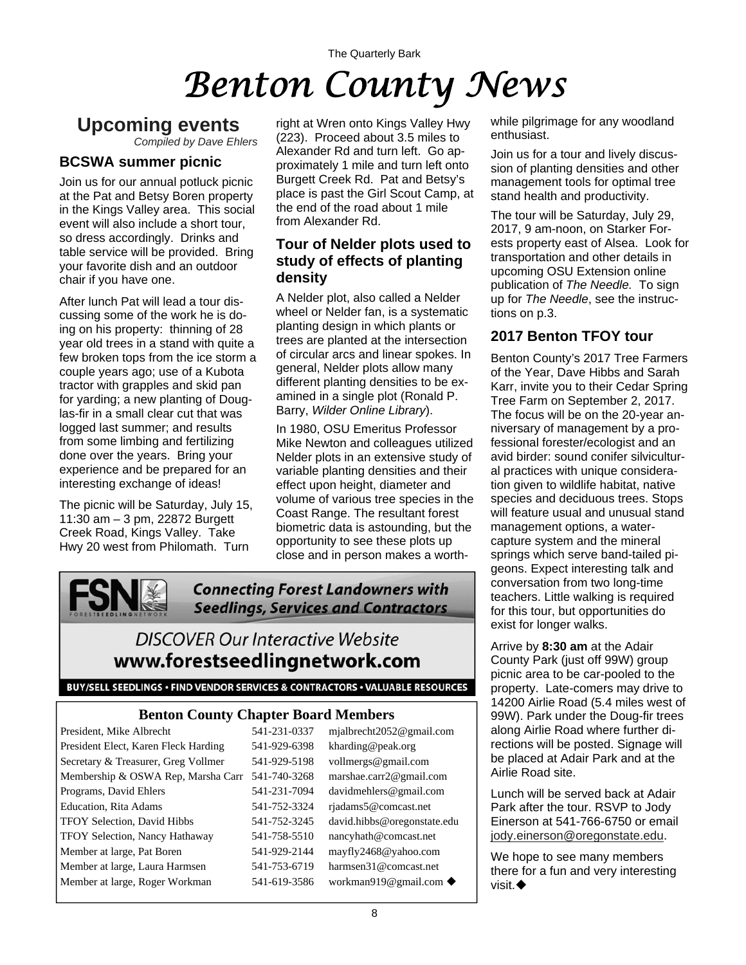## The Quarterly Bark *Benton County News*

## **Upcoming events**

*Compiled by Dave Ehlers*

#### **BCSWA summer picnic**

Join us for our annual potluck picnic at the Pat and Betsy Boren property in the Kings Valley area. This social event will also include a short tour, so dress accordingly. Drinks and table service will be provided. Bring your favorite dish and an outdoor chair if you have one.

After lunch Pat will lead a tour discussing some of the work he is doing on his property: thinning of 28 year old trees in a stand with quite a few broken tops from the ice storm a couple years ago; use of a Kubota tractor with grapples and skid pan for yarding; a new planting of Douglas-fir in a small clear cut that was logged last summer; and results from some limbing and fertilizing done over the years. Bring your experience and be prepared for an interesting exchange of ideas!

The picnic will be Saturday, July 15, 11:30 am – 3 pm, 22872 Burgett Creek Road, Kings Valley. Take Hwy 20 west from Philomath. Turn

right at Wren onto Kings Valley Hwy (223). Proceed about 3.5 miles to Alexander Rd and turn left. Go approximately 1 mile and turn left onto Burgett Creek Rd. Pat and Betsy's place is past the Girl Scout Camp, at the end of the road about 1 mile from Alexander Rd.

#### **Tour of Nelder plots used to study of effects of planting density**

A Nelder plot, also called a Nelder wheel or Nelder fan, is a systematic planting design in which plants or trees are planted at the intersection of circular arcs and linear spokes. In general, Nelder plots allow many different planting densities to be examined in a single plot (Ronald P. Barry, *Wilder Online Library*).

In 1980, OSU Emeritus Professor Mike Newton and colleagues utilized Nelder plots in an extensive study of variable planting densities and their effect upon height, diameter and volume of various tree species in the Coast Range. The resultant forest biometric data is astounding, but the opportunity to see these plots up close and in person makes a worth-

![](_page_7_Picture_11.jpeg)

**Connecting Forest Landowners with Seedlings, Services and Contractors** 

## **DISCOVER Our Interactive Website** www.forestseedlingnetwork.com

#### BUY/SELL SEEDLINGS . FIND VENDOR SERVICES & CONTRACTORS . VALUABLE RESOURCES

#### **Benton County Chapter Board Members**

| President, Mike Albrecht              | 541-231-0337 | mjalbrecht2052@gmail.com             |
|---------------------------------------|--------------|--------------------------------------|
| President Elect, Karen Fleck Harding  | 541-929-6398 | kharding@peak.org                    |
| Secretary & Treasurer, Greg Vollmer   | 541-929-5198 | vollmergs@gmail.com                  |
| Membership & OSWA Rep, Marsha Carr    | 541-740-3268 | marshae.carr2@gmail.com              |
| Programs, David Ehlers                | 541-231-7094 | davidmehlers@gmail.com               |
| <b>Education, Rita Adams</b>          | 541-752-3324 | rjadams5@comcast.net                 |
| TFOY Selection, David Hibbs           | 541-752-3245 | david.hibbs@oregonstate.edu          |
| <b>TFOY Selection, Nancy Hathaway</b> | 541-758-5510 | nancyhath@comcast.net                |
| Member at large, Pat Boren            | 541-929-2144 | mayfly2468@yahoo.com                 |
| Member at large, Laura Harmsen        | 541-753-6719 | harmsen31@comcast.net                |
| Member at large, Roger Workman        | 541-619-3586 | workman919@gmail.com $\blacklozenge$ |

while pilgrimage for any woodland enthusiast.

Join us for a tour and lively discussion of planting densities and other management tools for optimal tree stand health and productivity.

The tour will be Saturday, July 29, 2017, 9 am-noon, on Starker Forests property east of Alsea. Look for transportation and other details in upcoming OSU Extension online publication of *The Needle.* To sign up for *The Needle*, see the instructions on p.3.

#### **2017 Benton TFOY tour**

Benton County's 2017 Tree Farmers of the Year, Dave Hibbs and Sarah Karr, invite you to their Cedar Spring Tree Farm on September 2, 2017. The focus will be on the 20-year anniversary of management by a professional forester/ecologist and an avid birder: sound conifer silvicultural practices with unique consideration given to wildlife habitat, native species and deciduous trees. Stops will feature usual and unusual stand management options, a watercapture system and the mineral springs which serve band-tailed pigeons. Expect interesting talk and conversation from two long-time teachers. Little walking is required for this tour, but opportunities do exist for longer walks.

Arrive by **8:30 am** at the Adair County Park (just off 99W) group picnic area to be car-pooled to the property. Late-comers may drive to 14200 Airlie Road (5.4 miles west of 99W). Park under the Doug-fir trees along Airlie Road where further directions will be posted. Signage will be placed at Adair Park and at the Airlie Road site.

Lunch will be served back at Adair Park after the tour. RSVP to Jody Einerson at 541-766-6750 or email [jody.einerson@oregonstate.edu](mailto:jody.einerson@oregonstate.edu).

We hope to see many members there for a fun and very interesting visit.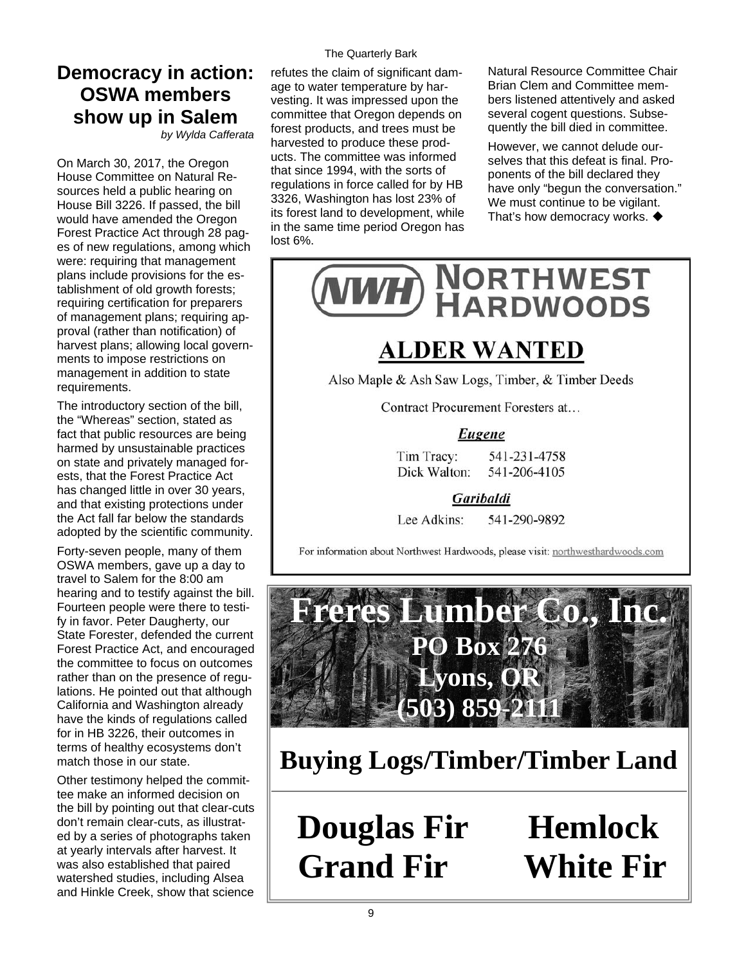## **Democracy in action: OSWA members show up in Salem**

*by Wylda Cafferata* 

On March 30, 2017, the Oregon House Committee on Natural Resources held a public hearing on House Bill 3226. If passed, the bill would have amended the Oregon Forest Practice Act through 28 pages of new regulations, among which were: requiring that management plans include provisions for the establishment of old growth forests; requiring certification for preparers of management plans; requiring approval (rather than notification) of harvest plans; allowing local governments to impose restrictions on management in addition to state requirements.

The introductory section of the bill, the "Whereas" section, stated as fact that public resources are being harmed by unsustainable practices on state and privately managed forests, that the Forest Practice Act has changed little in over 30 years, and that existing protections under the Act fall far below the standards adopted by the scientific community.

Forty-seven people, many of them OSWA members, gave up a day to travel to Salem for the 8:00 am hearing and to testify against the bill. Fourteen people were there to testify in favor. Peter Daugherty, our State Forester, defended the current Forest Practice Act, and encouraged the committee to focus on outcomes rather than on the presence of regulations. He pointed out that although California and Washington already have the kinds of regulations called for in HB 3226, their outcomes in terms of healthy ecosystems don't match those in our state.

Other testimony helped the committee make an informed decision on the bill by pointing out that clear-cuts don't remain clear-cuts, as illustrated by a series of photographs taken at yearly intervals after harvest. It was also established that paired watershed studies, including Alsea and Hinkle Creek, show that science The Quarterly Bark

refutes the claim of significant damage to water temperature by harvesting. It was impressed upon the committee that Oregon depends on forest products, and trees must be harvested to produce these products. The committee was informed that since 1994, with the sorts of regulations in force called for by HB 3326, Washington has lost 23% of its forest land to development, while in the same time period Oregon has lost 6%.

Natural Resource Committee Chair Brian Clem and Committee members listened attentively and asked several cogent questions. Subsequently the bill died in committee.

However, we cannot delude ourselves that this defeat is final. Proponents of the bill declared they have only "begun the conversation." We must continue to be vigilant. That's how democracy works.  $\blacklozenge$ 

![](_page_8_Picture_10.jpeg)

## **ALDER WANTED**

Also Maple & Ash Saw Logs, Timber, & Timber Deeds

Contract Procurement Foresters at...

#### Eugene

Tim Tracy: 541-231-4758 Dick Walton: 541-206-4105

Garibaldi

Lee Adkins: 541-290-9892

For information about Northwest Hardwoods, please visit: northwesthardwoods.com

![](_page_8_Picture_19.jpeg)

**Buying Logs/Timber/Timber Land**

**Douglas Fir Hemlock Grand Fir White Fir**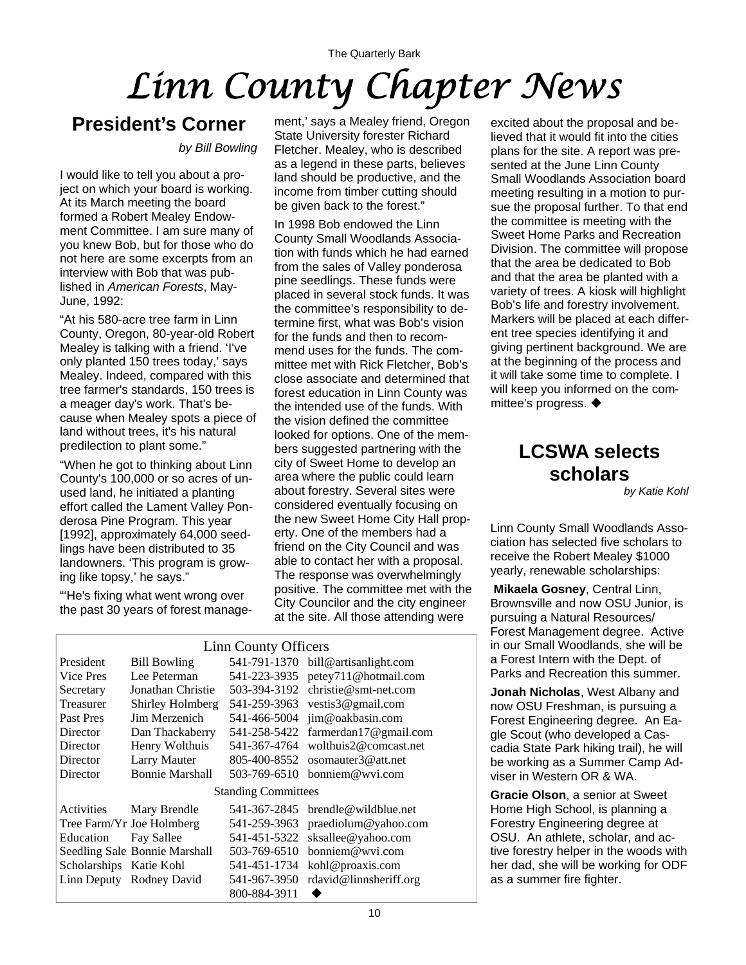## The Quarterly Bark *Linn County Chapter News*

## **President's Corner**

*by Bill Bowling*

I would like to tell you about a project on which your board is working. At its March meeting the board formed a Robert Mealey Endowment Committee. I am sure many of you knew Bob, but for those who do not here are some excerpts from an interview with Bob that was published in *American Forests*, May-June, 1992:

"At his 580-acre tree farm in Linn County, Oregon, 80-year-old Robert Mealey is talking with a friend. 'I've only planted 150 trees today,' says Mealey. Indeed, compared with this tree farmer's standards, 150 trees is a meager day's work. That's because when Mealey spots a piece of land without trees, it's his natural predilection to plant some."

"When he got to thinking about Linn County's 100,000 or so acres of unused land, he initiated a planting effort called the Lament Valley Ponderosa Pine Program. This year [1992], approximately 64,000 seedlings have been distributed to 35 landowners. 'This program is growing like topsy,' he says."

"'He's fixing what went wrong over the past 30 years of forest management,' says a Mealey friend, Oregon State University forester Richard Fletcher. Mealey, who is described as a legend in these parts, believes land should be productive, and the income from timber cutting should be given back to the forest."

In 1998 Bob endowed the Linn County Small Woodlands Association with funds which he had earned from the sales of Valley ponderosa pine seedlings. These funds were placed in several stock funds. It was the committee's responsibility to determine first, what was Bob's vision for the funds and then to recommend uses for the funds. The committee met with Rick Fletcher, Bob's close associate and determined that forest education in Linn County was the intended use of the funds. With the vision defined the committee looked for options. One of the members suggested partnering with the city of Sweet Home to develop an area where the public could learn about forestry. Several sites were considered eventually focusing on the new Sweet Home City Hall property. One of the members had a friend on the City Council and was able to contact her with a proposal. The response was overwhelmingly positive. The committee met with the City Councilor and the city engineer at the site. All those attending were

| Linn County Officers       |                               |              |                         |  |
|----------------------------|-------------------------------|--------------|-------------------------|--|
| President                  | <b>Bill Bowling</b>           | 541-791-1370 | bill@artisanlight.com   |  |
| Vice Pres                  | Lee Peterman                  | 541-223-3935 | petey711@hotmail.com    |  |
| Secretary                  | Jonathan Christie             | 503-394-3192 | $christie@smt-net.com$  |  |
| Treasurer                  | Shirley Holmberg              | 541-259-3963 | vestis3@gmail.com       |  |
| Past Pres                  | <b>Jim Merzenich</b>          | 541-466-5004 | jim@oakbasin.com        |  |
| Director                   | Dan Thackaberry               | 541-258-5422 | farmerdan17@gmail.com   |  |
| Director                   | Henry Wolthuis                | 541-367-4764 | wolthuis2@comcast.net   |  |
| Director                   | <b>Larry Mauter</b>           | 805-400-8552 | osomauter3@att.net      |  |
| Director                   | <b>Bonnie Marshall</b>        | 503-769-6510 | bonniem@wvi.com         |  |
| <b>Standing Committees</b> |                               |              |                         |  |
| Activities                 | Mary Brendle                  | 541-367-2845 | $b$ rendle@wildblue.net |  |
|                            | Tree Farm/Yr Joe Holmberg     | 541-259-3963 | praediolum@yahoo.com    |  |
| Education                  | Fay Sallee                    | 541-451-5322 | sksallee@yahoo.com      |  |
|                            | Seedling Sale Bonnie Marshall | 503-769-6510 | bonniem@wvi.com         |  |
| Scholarships Katie Kohl    |                               | 541-451-1734 | kohl@proaxis.com        |  |
| Linn Deputy                | Rodney David                  | 541-967-3950 | rdavid@linnsheriff.org  |  |
|                            |                               | 800-884-3911 |                         |  |

excited about the proposal and believed that it would fit into the cities plans for the site. A report was presented at the June Linn County Small Woodlands Association board meeting resulting in a motion to pursue the proposal further. To that end the committee is meeting with the Sweet Home Parks and Recreation Division. The committee will propose that the area be dedicated to Bob and that the area be planted with a variety of trees. A kiosk will highlight Bob's life and forestry involvement. Markers will be placed at each different tree species identifying it and giving pertinent background. We are at the beginning of the process and it will take some time to complete. I will keep you informed on the committee's progress. ♦

## **LCSWA selects scholars**

*by Katie Kohl* 

Linn County Small Woodlands Association has selected five scholars to receive the Robert Mealey \$1000 yearly, renewable scholarships:

**Mikaela Gosney**, Central Linn, Brownsville and now OSU Junior, is pursuing a Natural Resources/ Forest Management degree. Active in our Small Woodlands, she will be a Forest Intern with the Dept. of Parks and Recreation this summer.

**Jonah Nicholas**, West Albany and now OSU Freshman, is pursuing a Forest Engineering degree. An Eagle Scout (who developed a Cascadia State Park hiking trail), he will be working as a Summer Camp Adviser in Western OR & WA.

**Gracie Olson**, a senior at Sweet Home High School, is planning a Forestry Engineering degree at OSU. An athlete, scholar, and active forestry helper in the woods with her dad, she will be working for ODF as a summer fire fighter.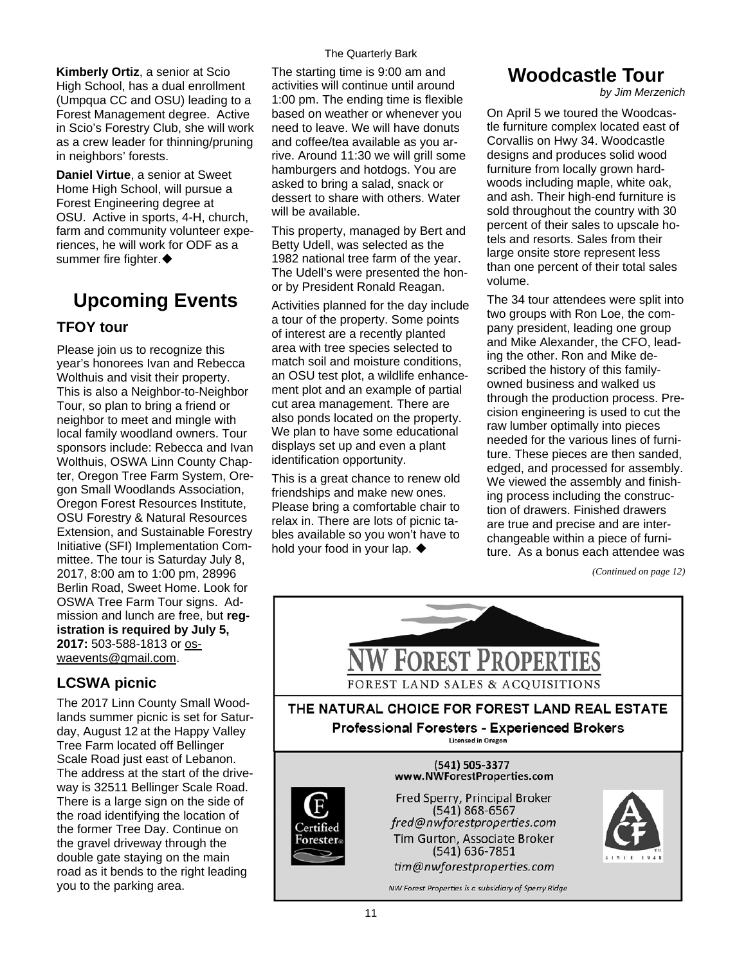**Kimberly Ortiz**, a senior at Scio High School, has a dual enrollment (Umpqua CC and OSU) leading to a Forest Management degree. Active in Scio's Forestry Club, she will work as a crew leader for thinning/pruning in neighbors' forests.

**Daniel Virtue**, a senior at Sweet Home High School, will pursue a Forest Engineering degree at OSU. Active in sports, 4-H, church, farm and community volunteer experiences, he will work for ODF as a summer fire fighter.

## **Upcoming Events**

#### **TFOY tour**

Please join us to recognize this year's honorees Ivan and Rebecca Wolthuis and visit their property. This is also a Neighbor-to-Neighbor Tour, so plan to bring a friend or neighbor to meet and mingle with local family woodland owners. Tour sponsors include: Rebecca and Ivan Wolthuis, OSWA Linn County Chapter, Oregon Tree Farm System, Oregon Small Woodlands Association, Oregon Forest Resources Institute, OSU Forestry & Natural Resources Extension, and Sustainable Forestry Initiative (SFI) Implementation Committee. The tour is Saturday July 8, 2017, 8:00 am to 1:00 pm, 28996 Berlin Road, Sweet Home. Look for OSWA Tree Farm Tour signs. Admission and lunch are free, but **registration is required by July 5, 2017:** 503-588-1813 or [os](mailto:oswaevents@gmail.com)[waevents@gmail.com](mailto:oswaevents@gmail.com).

#### **LCSWA picnic**

The 2017 Linn County Small Woodlands summer picnic is set for Saturday, August 12 at the Happy Valley Tree Farm located off Bellinger Scale Road just east of Lebanon. The address at the start of the driveway is 32511 Bellinger Scale Road. There is a large sign on the side of the road identifying the location of the former Tree Day. Continue on the gravel driveway through the double gate staying on the main road as it bends to the right leading you to the parking area.

#### The Quarterly Bark

The starting time is 9:00 am and activities will continue until around 1:00 pm. The ending time is flexible based on weather or whenever you need to leave. We will have donuts and coffee/tea available as you arrive. Around 11:30 we will grill some hamburgers and hotdogs. You are asked to bring a salad, snack or dessert to share with others. Water will be available.

This property, managed by Bert and Betty Udell, was selected as the 1982 national tree farm of the year. The Udell's were presented the honor by President Ronald Reagan.

Activities planned for the day include a tour of the property. Some points of interest are a recently planted area with tree species selected to match soil and moisture conditions, an OSU test plot, a wildlife enhancement plot and an example of partial cut area management. There are also ponds located on the property. We plan to have some educational displays set up and even a plant identification opportunity.

This is a great chance to renew old friendships and make new ones. Please bring a comfortable chair to relax in. There are lots of picnic tables available so you won't have to hold your food in your lap.  $\blacklozenge$ 

### **Woodcastle Tour**

*by Jim Merzenich* 

On April 5 we toured the Woodcastle furniture complex located east of Corvallis on Hwy 34. Woodcastle designs and produces solid wood furniture from locally grown hardwoods including maple, white oak, and ash. Their high-end furniture is sold throughout the country with 30 percent of their sales to upscale hotels and resorts. Sales from their large onsite store represent less than one percent of their total sales volume.

The 34 tour attendees were split into two groups with Ron Loe, the company president, leading one group and Mike Alexander, the CFO, leading the other. Ron and Mike described the history of this familyowned business and walked us through the production process. Precision engineering is used to cut the raw lumber optimally into pieces needed for the various lines of furniture. These pieces are then sanded, edged, and processed for assembly. We viewed the assembly and finishing process including the construction of drawers. Finished drawers are true and precise and are interchangeable within a piece of furniture. As a bonus each attendee was

*<sup>(</sup>Continued on page 12)* 

![](_page_10_Picture_17.jpeg)